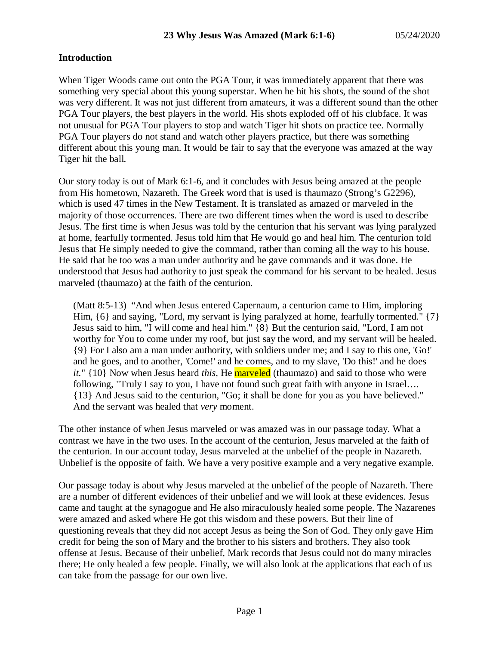## **Introduction**

When Tiger Woods came out onto the PGA Tour, it was immediately apparent that there was something very special about this young superstar. When he hit his shots, the sound of the shot was very different. It was not just different from amateurs, it was a different sound than the other PGA Tour players, the best players in the world. His shots exploded off of his clubface. It was not unusual for PGA Tour players to stop and watch Tiger hit shots on practice tee. Normally PGA Tour players do not stand and watch other players practice, but there was something different about this young man. It would be fair to say that the everyone was amazed at the way Tiger hit the ball.

Our story today is out of Mark 6:1-6, and it concludes with Jesus being amazed at the people from His hometown, Nazareth. The Greek word that is used is thaumazo (Strong's G2296), which is used 47 times in the New Testament. It is translated as amazed or marveled in the majority of those occurrences. There are two different times when the word is used to describe Jesus. The first time is when Jesus was told by the centurion that his servant was lying paralyzed at home, fearfully tormented. Jesus told him that He would go and heal him. The centurion told Jesus that He simply needed to give the command, rather than coming all the way to his house. He said that he too was a man under authority and he gave commands and it was done. He understood that Jesus had authority to just speak the command for his servant to be healed. Jesus marveled (thaumazo) at the faith of the centurion.

(Matt 8:5-13) "And when Jesus entered Capernaum, a centurion came to Him, imploring Him,  $\{6\}$  and saying, "Lord, my servant is lying paralyzed at home, fearfully tormented."  $\{7\}$ Jesus said to him, "I will come and heal him." {8} But the centurion said, "Lord, I am not worthy for You to come under my roof, but just say the word, and my servant will be healed. {9} For I also am a man under authority, with soldiers under me; and I say to this one, 'Go!' and he goes, and to another, 'Come!' and he comes, and to my slave, 'Do this!' and he does *it.*" {10} Now when Jesus heard *this,* He marveled (thaumazo) and said to those who were following, "Truly I say to you, I have not found such great faith with anyone in Israel…. {13} And Jesus said to the centurion, "Go; it shall be done for you as you have believed." And the servant was healed that *very* moment.

The other instance of when Jesus marveled or was amazed was in our passage today. What a contrast we have in the two uses. In the account of the centurion, Jesus marveled at the faith of the centurion. In our account today, Jesus marveled at the unbelief of the people in Nazareth. Unbelief is the opposite of faith. We have a very positive example and a very negative example.

Our passage today is about why Jesus marveled at the unbelief of the people of Nazareth. There are a number of different evidences of their unbelief and we will look at these evidences. Jesus came and taught at the synagogue and He also miraculously healed some people. The Nazarenes were amazed and asked where He got this wisdom and these powers. But their line of questioning reveals that they did not accept Jesus as being the Son of God. They only gave Him credit for being the son of Mary and the brother to his sisters and brothers. They also took offense at Jesus. Because of their unbelief, Mark records that Jesus could not do many miracles there; He only healed a few people. Finally, we will also look at the applications that each of us can take from the passage for our own live.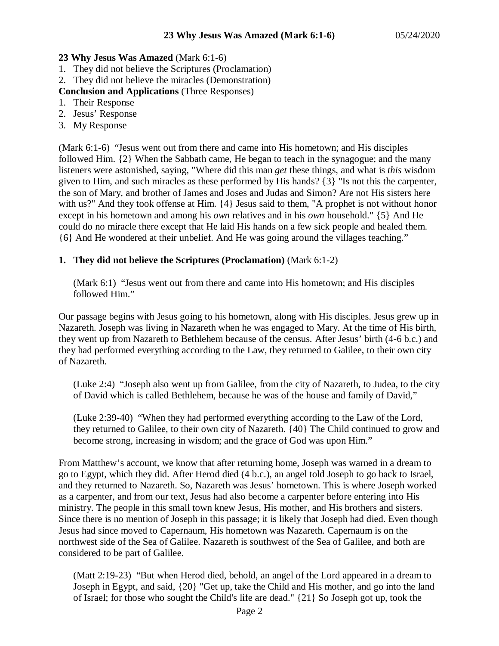### **23 Why Jesus Was Amazed** (Mark 6:1-6)

- 1. They did not believe the Scriptures (Proclamation)
- 2. They did not believe the miracles (Demonstration)
- **Conclusion and Applications** (Three Responses)
- 1. Their Response
- 2. Jesus' Response
- 3. My Response

(Mark 6:1-6) "Jesus went out from there and came into His hometown; and His disciples followed Him. {2} When the Sabbath came, He began to teach in the synagogue; and the many listeners were astonished, saying, "Where did this man *get* these things, and what is *this* wisdom given to Him, and such miracles as these performed by His hands? {3} "Is not this the carpenter, the son of Mary, and brother of James and Joses and Judas and Simon? Are not His sisters here with us?" And they took offense at Him.  $\{4\}$  Jesus said to them, "A prophet is not without honor except in his hometown and among his *own* relatives and in his *own* household." {5} And He could do no miracle there except that He laid His hands on a few sick people and healed them. {6} And He wondered at their unbelief. And He was going around the villages teaching."

## **1. They did not believe the Scriptures (Proclamation)** (Mark 6:1-2)

(Mark 6:1) "Jesus went out from there and came into His hometown; and His disciples followed Him."

Our passage begins with Jesus going to his hometown, along with His disciples. Jesus grew up in Nazareth. Joseph was living in Nazareth when he was engaged to Mary. At the time of His birth, they went up from Nazareth to Bethlehem because of the census. After Jesus' birth (4-6 b.c.) and they had performed everything according to the Law, they returned to Galilee, to their own city of Nazareth.

(Luke 2:4) "Joseph also went up from Galilee, from the city of Nazareth, to Judea, to the city of David which is called Bethlehem, because he was of the house and family of David,"

(Luke 2:39-40) "When they had performed everything according to the Law of the Lord, they returned to Galilee, to their own city of Nazareth. {40} The Child continued to grow and become strong, increasing in wisdom; and the grace of God was upon Him."

From Matthew's account, we know that after returning home, Joseph was warned in a dream to go to Egypt, which they did. After Herod died (4 b.c.), an angel told Joseph to go back to Israel, and they returned to Nazareth. So, Nazareth was Jesus' hometown. This is where Joseph worked as a carpenter, and from our text, Jesus had also become a carpenter before entering into His ministry. The people in this small town knew Jesus, His mother, and His brothers and sisters. Since there is no mention of Joseph in this passage; it is likely that Joseph had died. Even though Jesus had since moved to Capernaum, His hometown was Nazareth. Capernaum is on the northwest side of the Sea of Galilee. Nazareth is southwest of the Sea of Galilee, and both are considered to be part of Galilee.

(Matt 2:19-23) "But when Herod died, behold, an angel of the Lord appeared in a dream to Joseph in Egypt, and said, {20} "Get up, take the Child and His mother, and go into the land of Israel; for those who sought the Child's life are dead." {21} So Joseph got up, took the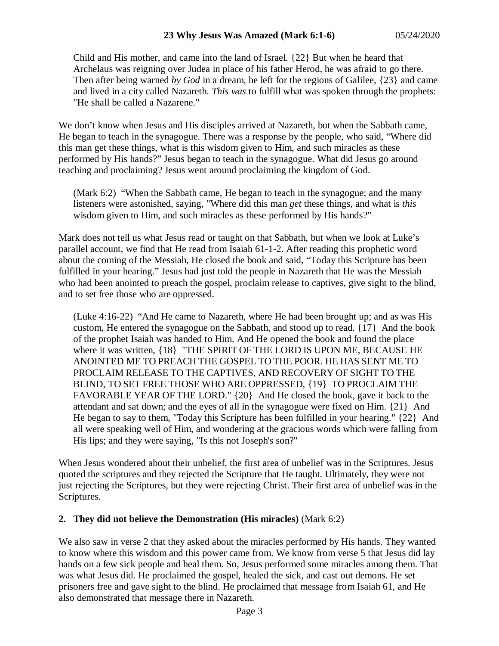Child and His mother, and came into the land of Israel. {22} But when he heard that Archelaus was reigning over Judea in place of his father Herod, he was afraid to go there. Then after being warned *by God* in a dream, he left for the regions of Galilee, {23} and came and lived in a city called Nazareth. *This was* to fulfill what was spoken through the prophets: "He shall be called a Nazarene."

We don't know when Jesus and His disciples arrived at Nazareth, but when the Sabbath came, He began to teach in the synagogue. There was a response by the people, who said, "Where did this man get these things, what is this wisdom given to Him, and such miracles as these performed by His hands?" Jesus began to teach in the synagogue. What did Jesus go around teaching and proclaiming? Jesus went around proclaiming the kingdom of God.

(Mark 6:2) "When the Sabbath came, He began to teach in the synagogue; and the many listeners were astonished, saying, "Where did this man *get* these things, and what is *this* wisdom given to Him, and such miracles as these performed by His hands?"

Mark does not tell us what Jesus read or taught on that Sabbath, but when we look at Luke's parallel account, we find that He read from Isaiah 61-1-2. After reading this prophetic word about the coming of the Messiah, He closed the book and said, "Today this Scripture has been fulfilled in your hearing." Jesus had just told the people in Nazareth that He was the Messiah who had been anointed to preach the gospel, proclaim release to captives, give sight to the blind, and to set free those who are oppressed.

(Luke 4:16-22) "And He came to Nazareth, where He had been brought up; and as was His custom, He entered the synagogue on the Sabbath, and stood up to read. {17} And the book of the prophet Isaiah was handed to Him. And He opened the book and found the place where it was written, {18} "THE SPIRIT OF THE LORD IS UPON ME, BECAUSE HE ANOINTED ME TO PREACH THE GOSPEL TO THE POOR. HE HAS SENT ME TO PROCLAIM RELEASE TO THE CAPTIVES, AND RECOVERY OF SIGHT TO THE BLIND, TO SET FREE THOSE WHO ARE OPPRESSED, {19} TO PROCLAIM THE FAVORABLE YEAR OF THE LORD." {20} And He closed the book, gave it back to the attendant and sat down; and the eyes of all in the synagogue were fixed on Him. {21} And He began to say to them, "Today this Scripture has been fulfilled in your hearing." {22} And all were speaking well of Him, and wondering at the gracious words which were falling from His lips; and they were saying, "Is this not Joseph's son?"

When Jesus wondered about their unbelief, the first area of unbelief was in the Scriptures. Jesus quoted the scriptures and they rejected the Scripture that He taught. Ultimately, they were not just rejecting the Scriptures, but they were rejecting Christ. Their first area of unbelief was in the Scriptures.

### **2. They did not believe the Demonstration (His miracles)** (Mark 6:2)

We also saw in verse 2 that they asked about the miracles performed by His hands. They wanted to know where this wisdom and this power came from. We know from verse 5 that Jesus did lay hands on a few sick people and heal them. So, Jesus performed some miracles among them. That was what Jesus did. He proclaimed the gospel, healed the sick, and cast out demons. He set prisoners free and gave sight to the blind. He proclaimed that message from Isaiah 61, and He also demonstrated that message there in Nazareth.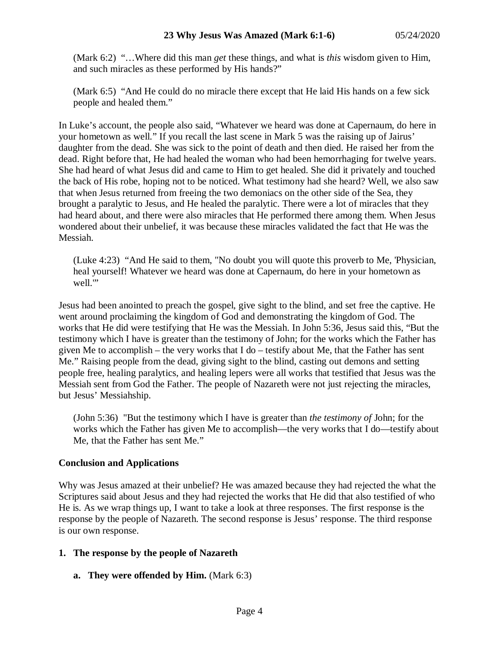(Mark 6:2) "…Where did this man *get* these things, and what is *this* wisdom given to Him, and such miracles as these performed by His hands?"

(Mark 6:5) "And He could do no miracle there except that He laid His hands on a few sick people and healed them."

In Luke's account, the people also said, "Whatever we heard was done at Capernaum, do here in your hometown as well." If you recall the last scene in Mark 5 was the raising up of Jairus' daughter from the dead. She was sick to the point of death and then died. He raised her from the dead. Right before that, He had healed the woman who had been hemorrhaging for twelve years. She had heard of what Jesus did and came to Him to get healed. She did it privately and touched the back of His robe, hoping not to be noticed. What testimony had she heard? Well, we also saw that when Jesus returned from freeing the two demoniacs on the other side of the Sea, they brought a paralytic to Jesus, and He healed the paralytic. There were a lot of miracles that they had heard about, and there were also miracles that He performed there among them. When Jesus wondered about their unbelief, it was because these miracles validated the fact that He was the Messiah.

(Luke 4:23) "And He said to them, "No doubt you will quote this proverb to Me, 'Physician, heal yourself! Whatever we heard was done at Capernaum, do here in your hometown as well."

Jesus had been anointed to preach the gospel, give sight to the blind, and set free the captive. He went around proclaiming the kingdom of God and demonstrating the kingdom of God. The works that He did were testifying that He was the Messiah. In John 5:36, Jesus said this, "But the testimony which I have is greater than the testimony of John; for the works which the Father has given Me to accomplish – the very works that I do – testify about Me, that the Father has sent Me." Raising people from the dead, giving sight to the blind, casting out demons and setting people free, healing paralytics, and healing lepers were all works that testified that Jesus was the Messiah sent from God the Father. The people of Nazareth were not just rejecting the miracles, but Jesus' Messiahship.

(John 5:36) "But the testimony which I have is greater than *the testimony of* John; for the works which the Father has given Me to accomplish—the very works that I do—testify about Me, that the Father has sent Me."

# **Conclusion and Applications**

Why was Jesus amazed at their unbelief? He was amazed because they had rejected the what the Scriptures said about Jesus and they had rejected the works that He did that also testified of who He is. As we wrap things up, I want to take a look at three responses. The first response is the response by the people of Nazareth. The second response is Jesus' response. The third response is our own response.

# **1. The response by the people of Nazareth**

# **a. They were offended by Him.** (Mark 6:3)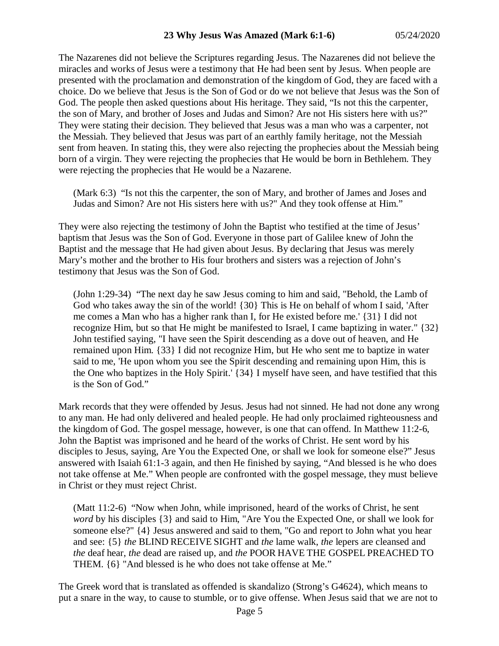The Nazarenes did not believe the Scriptures regarding Jesus. The Nazarenes did not believe the miracles and works of Jesus were a testimony that He had been sent by Jesus. When people are presented with the proclamation and demonstration of the kingdom of God, they are faced with a choice. Do we believe that Jesus is the Son of God or do we not believe that Jesus was the Son of God. The people then asked questions about His heritage. They said, "Is not this the carpenter, the son of Mary, and brother of Joses and Judas and Simon? Are not His sisters here with us?" They were stating their decision. They believed that Jesus was a man who was a carpenter, not the Messiah. They believed that Jesus was part of an earthly family heritage, not the Messiah sent from heaven. In stating this, they were also rejecting the prophecies about the Messiah being born of a virgin. They were rejecting the prophecies that He would be born in Bethlehem. They were rejecting the prophecies that He would be a Nazarene.

(Mark 6:3) "Is not this the carpenter, the son of Mary, and brother of James and Joses and Judas and Simon? Are not His sisters here with us?" And they took offense at Him."

They were also rejecting the testimony of John the Baptist who testified at the time of Jesus' baptism that Jesus was the Son of God. Everyone in those part of Galilee knew of John the Baptist and the message that He had given about Jesus. By declaring that Jesus was merely Mary's mother and the brother to His four brothers and sisters was a rejection of John's testimony that Jesus was the Son of God.

(John 1:29-34) "The next day he saw Jesus coming to him and said, "Behold, the Lamb of God who takes away the sin of the world! {30} This is He on behalf of whom I said, 'After me comes a Man who has a higher rank than I, for He existed before me.' {31} I did not recognize Him, but so that He might be manifested to Israel, I came baptizing in water." {32} John testified saying, "I have seen the Spirit descending as a dove out of heaven, and He remained upon Him. {33} I did not recognize Him, but He who sent me to baptize in water said to me, 'He upon whom you see the Spirit descending and remaining upon Him, this is the One who baptizes in the Holy Spirit.' {34} I myself have seen, and have testified that this is the Son of God."

Mark records that they were offended by Jesus. Jesus had not sinned. He had not done any wrong to any man. He had only delivered and healed people. He had only proclaimed righteousness and the kingdom of God. The gospel message, however, is one that can offend. In Matthew 11:2-6, John the Baptist was imprisoned and he heard of the works of Christ. He sent word by his disciples to Jesus, saying, Are You the Expected One, or shall we look for someone else?" Jesus answered with Isaiah 61:1-3 again, and then He finished by saying, "And blessed is he who does not take offense at Me." When people are confronted with the gospel message, they must believe in Christ or they must reject Christ.

(Matt 11:2-6) "Now when John, while imprisoned, heard of the works of Christ, he sent *word* by his disciples {3} and said to Him, "Are You the Expected One, or shall we look for someone else?" {4} Jesus answered and said to them, "Go and report to John what you hear and see: {5} *the* BLIND RECEIVE SIGHT and *the* lame walk, *the* lepers are cleansed and *the* deaf hear, *the* dead are raised up, and *the* POOR HAVE THE GOSPEL PREACHED TO THEM. {6} "And blessed is he who does not take offense at Me."

The Greek word that is translated as offended is skandalizo (Strong's G4624), which means to put a snare in the way, to cause to stumble, or to give offense. When Jesus said that we are not to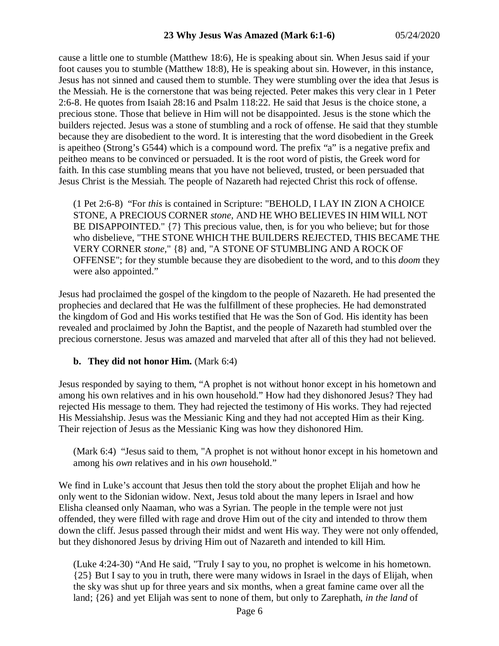cause a little one to stumble (Matthew 18:6), He is speaking about sin. When Jesus said if your foot causes you to stumble (Matthew 18:8), He is speaking about sin. However, in this instance, Jesus has not sinned and caused them to stumble. They were stumbling over the idea that Jesus is the Messiah. He is the cornerstone that was being rejected. Peter makes this very clear in 1 Peter 2:6-8. He quotes from Isaiah 28:16 and Psalm 118:22. He said that Jesus is the choice stone, a precious stone. Those that believe in Him will not be disappointed. Jesus is the stone which the builders rejected. Jesus was a stone of stumbling and a rock of offense. He said that they stumble because they are disobedient to the word. It is interesting that the word disobedient in the Greek is apeitheo (Strong's G544) which is a compound word. The prefix "a" is a negative prefix and peitheo means to be convinced or persuaded. It is the root word of pistis, the Greek word for faith. In this case stumbling means that you have not believed, trusted, or been persuaded that Jesus Christ is the Messiah. The people of Nazareth had rejected Christ this rock of offense.

(1 Pet 2:6-8) "For *this* is contained in Scripture: "BEHOLD, I LAY IN ZION A CHOICE STONE, A PRECIOUS CORNER *stone,* AND HE WHO BELIEVES IN HIM WILL NOT BE DISAPPOINTED." {7} This precious value, then, is for you who believe; but for those who disbelieve, "THE STONE WHICH THE BUILDERS REJECTED, THIS BECAME THE VERY CORNER *stone,*" {8} and, "A STONE OF STUMBLING AND A ROCK OF OFFENSE"; for they stumble because they are disobedient to the word, and to this *doom* they were also appointed."

Jesus had proclaimed the gospel of the kingdom to the people of Nazareth. He had presented the prophecies and declared that He was the fulfillment of these prophecies. He had demonstrated the kingdom of God and His works testified that He was the Son of God. His identity has been revealed and proclaimed by John the Baptist, and the people of Nazareth had stumbled over the precious cornerstone. Jesus was amazed and marveled that after all of this they had not believed.

### **b. They did not honor Him.** (Mark 6:4)

Jesus responded by saying to them, "A prophet is not without honor except in his hometown and among his own relatives and in his own household." How had they dishonored Jesus? They had rejected His message to them. They had rejected the testimony of His works. They had rejected His Messiahship. Jesus was the Messianic King and they had not accepted Him as their King. Their rejection of Jesus as the Messianic King was how they dishonored Him.

(Mark 6:4) "Jesus said to them, "A prophet is not without honor except in his hometown and among his *own* relatives and in his *own* household."

We find in Luke's account that Jesus then told the story about the prophet Elijah and how he only went to the Sidonian widow. Next, Jesus told about the many lepers in Israel and how Elisha cleansed only Naaman, who was a Syrian. The people in the temple were not just offended, they were filled with rage and drove Him out of the city and intended to throw them down the cliff. Jesus passed through their midst and went His way. They were not only offended, but they dishonored Jesus by driving Him out of Nazareth and intended to kill Him.

(Luke 4:24-30) "And He said, "Truly I say to you, no prophet is welcome in his hometown. {25} But I say to you in truth, there were many widows in Israel in the days of Elijah, when the sky was shut up for three years and six months, when a great famine came over all the land; {26} and yet Elijah was sent to none of them, but only to Zarephath, *in the land* of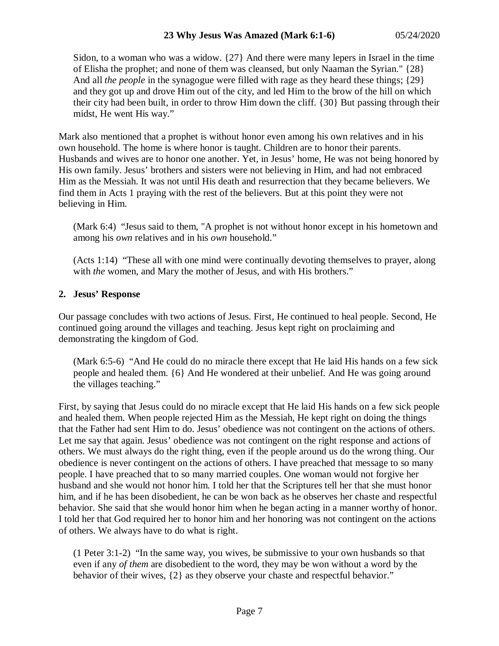Sidon, to a woman who was a widow. {27} And there were many lepers in Israel in the time of Elisha the prophet; and none of them was cleansed, but only Naaman the Syrian." {28} And all *the people* in the synagogue were filled with rage as they heard these things; {29} and they got up and drove Him out of the city, and led Him to the brow of the hill on which their city had been built, in order to throw Him down the cliff. {30} But passing through their midst, He went His way."

Mark also mentioned that a prophet is without honor even among his own relatives and in his own household. The home is where honor is taught. Children are to honor their parents. Husbands and wives are to honor one another. Yet, in Jesus' home, He was not being honored by His own family. Jesus' brothers and sisters were not believing in Him, and had not embraced Him as the Messiah. It was not until His death and resurrection that they became believers. We find them in Acts 1 praying with the rest of the believers. But at this point they were not believing in Him.

(Mark 6:4) "Jesus said to them, "A prophet is not without honor except in his hometown and among his *own* relatives and in his *own* household."

(Acts 1:14) "These all with one mind were continually devoting themselves to prayer, along with *the* women, and Mary the mother of Jesus, and with His brothers."

# **2. Jesus' Response**

Our passage concludes with two actions of Jesus. First, He continued to heal people. Second, He continued going around the villages and teaching. Jesus kept right on proclaiming and demonstrating the kingdom of God.

(Mark 6:5-6) "And He could do no miracle there except that He laid His hands on a few sick people and healed them. {6} And He wondered at their unbelief. And He was going around the villages teaching."

First, by saying that Jesus could do no miracle except that He laid His hands on a few sick people and healed them. When people rejected Him as the Messiah, He kept right on doing the things that the Father had sent Him to do. Jesus' obedience was not contingent on the actions of others. Let me say that again. Jesus' obedience was not contingent on the right response and actions of others. We must always do the right thing, even if the people around us do the wrong thing. Our obedience is never contingent on the actions of others. I have preached that message to so many people. I have preached that to so many married couples. One woman would not forgive her husband and she would not honor him. I told her that the Scriptures tell her that she must honor him, and if he has been disobedient, he can be won back as he observes her chaste and respectful behavior. She said that she would honor him when he began acting in a manner worthy of honor. I told her that God required her to honor him and her honoring was not contingent on the actions of others. We always have to do what is right.

(1 Peter 3:1-2) "In the same way, you wives, be submissive to your own husbands so that even if any *of them* are disobedient to the word, they may be won without a word by the behavior of their wives, {2} as they observe your chaste and respectful behavior."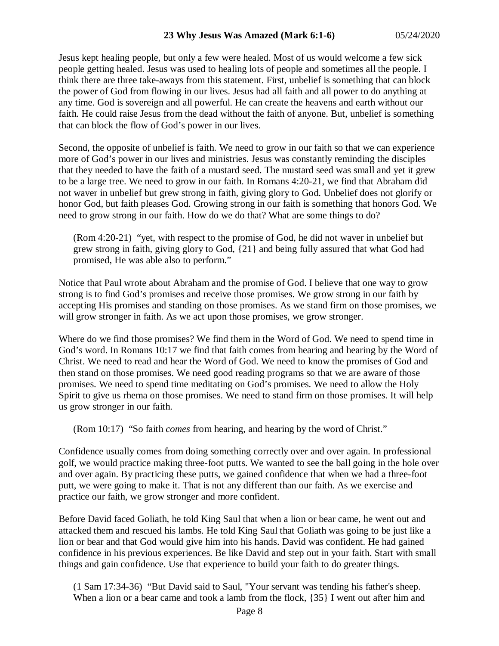Jesus kept healing people, but only a few were healed. Most of us would welcome a few sick people getting healed. Jesus was used to healing lots of people and sometimes all the people. I think there are three take-aways from this statement. First, unbelief is something that can block the power of God from flowing in our lives. Jesus had all faith and all power to do anything at any time. God is sovereign and all powerful. He can create the heavens and earth without our faith. He could raise Jesus from the dead without the faith of anyone. But, unbelief is something that can block the flow of God's power in our lives.

Second, the opposite of unbelief is faith. We need to grow in our faith so that we can experience more of God's power in our lives and ministries. Jesus was constantly reminding the disciples that they needed to have the faith of a mustard seed. The mustard seed was small and yet it grew to be a large tree. We need to grow in our faith. In Romans 4:20-21, we find that Abraham did not waver in unbelief but grew strong in faith, giving glory to God. Unbelief does not glorify or honor God, but faith pleases God. Growing strong in our faith is something that honors God. We need to grow strong in our faith. How do we do that? What are some things to do?

(Rom 4:20-21) "yet, with respect to the promise of God, he did not waver in unbelief but grew strong in faith, giving glory to God, {21} and being fully assured that what God had promised, He was able also to perform."

Notice that Paul wrote about Abraham and the promise of God. I believe that one way to grow strong is to find God's promises and receive those promises. We grow strong in our faith by accepting His promises and standing on those promises. As we stand firm on those promises, we will grow stronger in faith. As we act upon those promises, we grow stronger.

Where do we find those promises? We find them in the Word of God. We need to spend time in God's word. In Romans 10:17 we find that faith comes from hearing and hearing by the Word of Christ. We need to read and hear the Word of God. We need to know the promises of God and then stand on those promises. We need good reading programs so that we are aware of those promises. We need to spend time meditating on God's promises. We need to allow the Holy Spirit to give us rhema on those promises. We need to stand firm on those promises. It will help us grow stronger in our faith.

(Rom 10:17) "So faith *comes* from hearing, and hearing by the word of Christ."

Confidence usually comes from doing something correctly over and over again. In professional golf, we would practice making three-foot putts. We wanted to see the ball going in the hole over and over again. By practicing these putts, we gained confidence that when we had a three-foot putt, we were going to make it. That is not any different than our faith. As we exercise and practice our faith, we grow stronger and more confident.

Before David faced Goliath, he told King Saul that when a lion or bear came, he went out and attacked them and rescued his lambs. He told King Saul that Goliath was going to be just like a lion or bear and that God would give him into his hands. David was confident. He had gained confidence in his previous experiences. Be like David and step out in your faith. Start with small things and gain confidence. Use that experience to build your faith to do greater things.

(1 Sam 17:34-36) "But David said to Saul, "Your servant was tending his father's sheep. When a lion or a bear came and took a lamb from the flock,  $\{35\}$  I went out after him and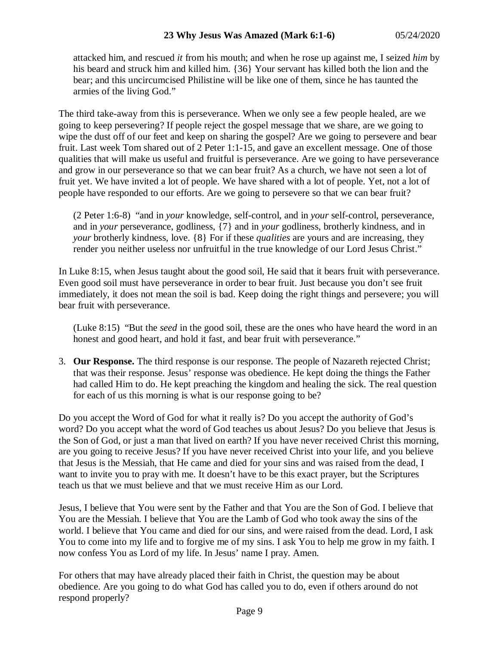attacked him, and rescued *it* from his mouth; and when he rose up against me, I seized *him* by his beard and struck him and killed him. {36} Your servant has killed both the lion and the bear; and this uncircumcised Philistine will be like one of them, since he has taunted the armies of the living God."

The third take-away from this is perseverance. When we only see a few people healed, are we going to keep persevering? If people reject the gospel message that we share, are we going to wipe the dust off of our feet and keep on sharing the gospel? Are we going to persevere and bear fruit. Last week Tom shared out of 2 Peter 1:1-15, and gave an excellent message. One of those qualities that will make us useful and fruitful is perseverance. Are we going to have perseverance and grow in our perseverance so that we can bear fruit? As a church, we have not seen a lot of fruit yet. We have invited a lot of people. We have shared with a lot of people. Yet, not a lot of people have responded to our efforts. Are we going to persevere so that we can bear fruit?

(2 Peter 1:6-8) "and in *your* knowledge, self-control, and in *your* self-control, perseverance, and in *your* perseverance, godliness, {7} and in *your* godliness, brotherly kindness, and in *your* brotherly kindness, love. {8} For if these *qualities* are yours and are increasing, they render you neither useless nor unfruitful in the true knowledge of our Lord Jesus Christ."

In Luke 8:15, when Jesus taught about the good soil, He said that it bears fruit with perseverance. Even good soil must have perseverance in order to bear fruit. Just because you don't see fruit immediately, it does not mean the soil is bad. Keep doing the right things and persevere; you will bear fruit with perseverance.

(Luke 8:15) "But the *seed* in the good soil, these are the ones who have heard the word in an honest and good heart, and hold it fast, and bear fruit with perseverance."

3. **Our Response.** The third response is our response. The people of Nazareth rejected Christ; that was their response. Jesus' response was obedience. He kept doing the things the Father had called Him to do. He kept preaching the kingdom and healing the sick. The real question for each of us this morning is what is our response going to be?

Do you accept the Word of God for what it really is? Do you accept the authority of God's word? Do you accept what the word of God teaches us about Jesus? Do you believe that Jesus is the Son of God, or just a man that lived on earth? If you have never received Christ this morning, are you going to receive Jesus? If you have never received Christ into your life, and you believe that Jesus is the Messiah, that He came and died for your sins and was raised from the dead, I want to invite you to pray with me. It doesn't have to be this exact prayer, but the Scriptures teach us that we must believe and that we must receive Him as our Lord.

Jesus, I believe that You were sent by the Father and that You are the Son of God. I believe that You are the Messiah. I believe that You are the Lamb of God who took away the sins of the world. I believe that You came and died for our sins, and were raised from the dead. Lord, I ask You to come into my life and to forgive me of my sins. I ask You to help me grow in my faith. I now confess You as Lord of my life. In Jesus' name I pray. Amen.

For others that may have already placed their faith in Christ, the question may be about obedience. Are you going to do what God has called you to do, even if others around do not respond properly?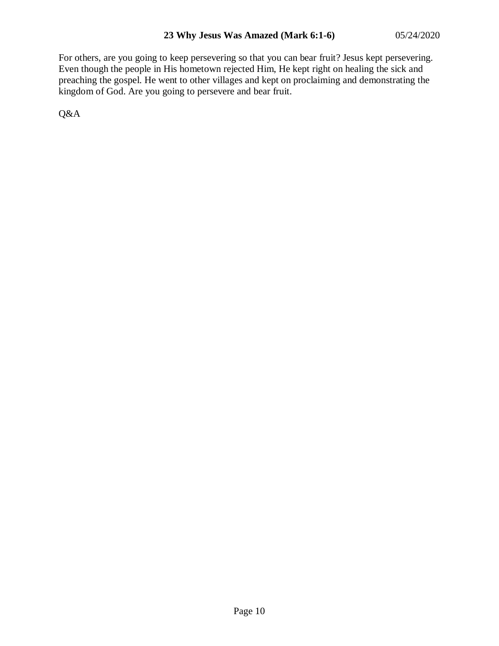For others, are you going to keep persevering so that you can bear fruit? Jesus kept persevering. Even though the people in His hometown rejected Him, He kept right on healing the sick and preaching the gospel. He went to other villages and kept on proclaiming and demonstrating the kingdom of God. Are you going to persevere and bear fruit.

Q&A